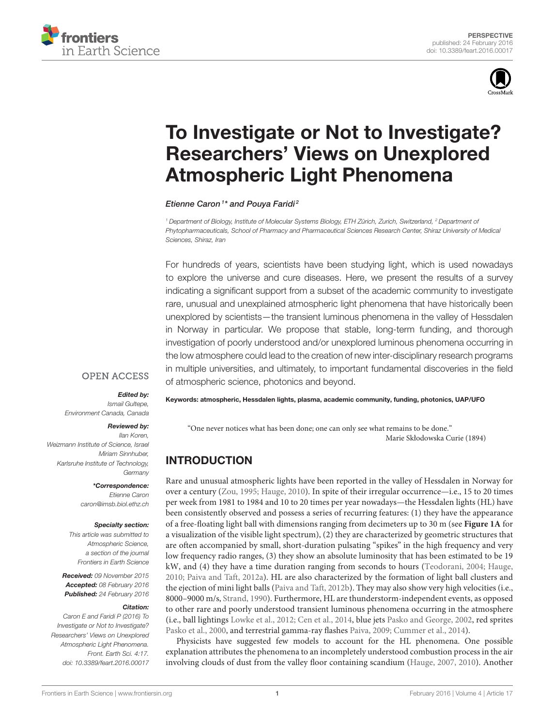



# [To Investigate or Not to Investigate?](http://journal.frontiersin.org/article/10.3389/feart.2016.00017/abstract) Researchers' Views on Unexplored Atmospheric Light Phenomena

[Etienne Caron](http://loop.frontiersin.org/people/268044/overview)<sup>1\*</sup> and [Pouya Faridi](http://loop.frontiersin.org/people/301803/overview)<sup>2</sup>

<sup>1</sup> Department of Biology, Institute of Molecular Systems Biology, ETH Zürich, Zurich, Switzerland, <sup>2</sup> Department of Phytopharmaceuticals, School of Pharmacy and Pharmaceutical Sciences Research Center, Shiraz University of Medical Sciences, Shiraz, Iran

For hundreds of years, scientists have been studying light, which is used nowadays to explore the universe and cure diseases. Here, we present the results of a survey indicating a significant support from a subset of the academic community to investigate rare, unusual and unexplained atmospheric light phenomena that have historically been unexplored by scientists—the transient luminous phenomena in the valley of Hessdalen in Norway in particular. We propose that stable, long-term funding, and thorough investigation of poorly understood and/or unexplored luminous phenomena occurring in the low atmosphere could lead to the creation of new inter-disciplinary research programs in multiple universities, and ultimately, to important fundamental discoveries in the field of atmospheric science, photonics and beyond.

#### **OPEN ACCESS**

#### Edited by:

Ismail Gultepe, Environment Canada, Canada

#### Reviewed by:

Ilan Koren, Weizmann Institute of Science, Israel Miriam Sinnhuber, Karlsruhe Institute of Technology, Germany

> \*Correspondence: Etienne Caron [caron@imsb.biol.ethz.ch](mailto:caron@imsb.biol.ethz.ch)

#### Specialty section:

This article was submitted to Atmospheric Science, a section of the journal Frontiers in Earth Science

Received: 09 November 2015 Accepted: 08 February 2016 Published: 24 February 2016

#### Citation:

Caron E and Faridi P (2016) To Investigate or Not to Investigate? Researchers' Views on Unexplored Atmospheric Light Phenomena. Front. Earth Sci. 4:17. doi: [10.3389/feart.2016.00017](http://dx.doi.org/10.3389/feart.2016.00017) Keywords: atmospheric, Hessdalen lights, plasma, academic community, funding, photonics, UAP/UFO

"One never notices what has been done; one can only see what remains to be done." Marie Skłodowska Curie (1894)

# INTRODUCTION

Rare and unusual atmospheric lights have been reported in the valley of Hessdalen in Norway for over a century [\(Zou, 1995;](#page-4-0) [Hauge, 2010\)](#page-4-1). In spite of their irregular occurrence—i.e., 15 to 20 times per week from 1981 to 1984 and 10 to 20 times per year nowadays—the Hessdalen lights (HL) have been consistently observed and possess a series of recurring features: (1) they have the appearance of a free-floating light ball with dimensions ranging from decimeters up to 30 m (see **[Figure 1A](#page-1-0)** for a visualization of the visible light spectrum), (2) they are characterized by geometric structures that are often accompanied by small, short-duration pulsating "spikes" in the high frequency and very low frequency radio ranges, (3) they show an absolute luminosity that has been estimated to be 19 kW, and (4) they have a time duration ranging from seconds to hours [\(Teodorani, 2004;](#page-4-2) [Hauge,](#page-4-1) [2010;](#page-4-1) [Paiva and Taft, 2012a\)](#page-4-3). HL are also characterized by the formation of light ball clusters and the ejection of mini light balls [\(Paiva and Taft, 2012b\)](#page-4-4). They may also show very high velocities (i.e., 8000–9000 m/s, [Strand, 1990\)](#page-4-5). Furthermore, HL are thunderstorm-independent events, as opposed to other rare and poorly understood transient luminous phenomena occurring in the atmosphere (i.e., ball lightings [Lowke et al., 2012;](#page-4-6) [Cen et al., 2014,](#page-3-0) blue jets [Pasko and George, 2002,](#page-4-7) red sprites [Pasko et al., 2000,](#page-4-8) and terrestrial gamma-ray flashes [Paiva, 2009;](#page-4-9) [Cummer et al., 2014\)](#page-4-10).

Physicists have suggested few models to account for the HL phenomena. One possible explanation attributes the phenomena to an incompletely understood combustion process in the air involving clouds of dust from the valley floor containing scandium [\(Hauge, 2007,](#page-4-11) [2010\)](#page-4-1). Another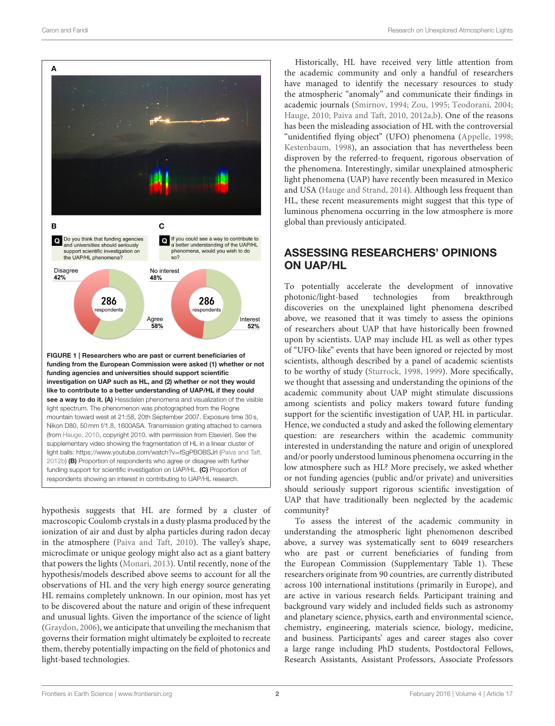

<span id="page-1-0"></span>see a way to do it. (A) Hessdalen phenomena and visualization of the visible light spectrum. The phenomenon was photographed from the Rogne mountain toward west at 21:58, 20th September 2007. Exposure time 30 s, Nikon D80, 50 mm f/1.8, 1600ASA. Transmission grating attached to camera (from [Hauge, 2010,](#page-4-1) copyright 2010, with permission from Elsevier). See the supplementary video showing the fragmentation of HL in a linear cluster of light balls: [https://www.youtube.com/watch?v](https://www.youtube.com/watch?v=fSgPBOBSJrI)=fSgPBOBSJrI [\(Paiva and Taft,](#page-4-4) [2012b\)](#page-4-4) (B) Proportion of respondents who agree or disagree with further funding support for scientific investigation on UAP/HL. (C) Proportion of respondents showing an interest in contributing to UAP/HL research.

hypothesis suggests that HL are formed by a cluster of macroscopic Coulomb crystals in a dusty plasma produced by the ionization of air and dust by alpha particles during radon decay in the atmosphere [\(Paiva and Taft, 2010\)](#page-4-12). The valley's shape, microclimate or unique geology might also act as a giant battery that powers the lights [\(Monari, 2013\)](#page-4-13). Until recently, none of the hypothesis/models described above seems to account for all the observations of HL and the very high energy source generating HL remains completely unknown. In our opinion, most has yet to be discovered about the nature and origin of these infrequent and unusual lights. Given the importance of the science of light [\(Graydon, 2006\)](#page-4-14), we anticipate that unveiling the mechanism that governs their formation might ultimately be exploited to recreate them, thereby potentially impacting on the field of photonics and light-based technologies.

Historically, HL have received very little attention from the academic community and only a handful of researchers have managed to identify the necessary resources to study the atmospheric "anomaly" and communicate their findings in academic journals [\(Smirnov, 1994;](#page-4-15) [Zou, 1995;](#page-4-0) [Teodorani, 2004;](#page-4-2) [Hauge, 2010;](#page-4-1) [Paiva and Taft, 2010,](#page-4-12) [2012a,](#page-4-3)[b\)](#page-4-4). One of the reasons has been the misleading association of HL with the controversial "unidentified flying object" (UFO) phenomena [\(Appelle, 1998;](#page-3-1) [Kestenbaum, 1998\)](#page-4-16), an association that has nevertheless been disproven by the referred-to frequent, rigorous observation of the phenomena. Interestingly, similar unexplained atmospheric light phenomena (UAP) have recently been measured in Mexico and USA [\(Hauge and Strand, 2014\)](#page-4-17). Although less frequent than HL, these recent measurements might suggest that this type of luminous phenomena occurring in the low atmosphere is more global than previously anticipated.

# ASSESSING RESEARCHERS' OPINIONS ON UAP/HL

To potentially accelerate the development of innovative photonic/light-based technologies from breakthrough discoveries on the unexplained light phenomena described above, we reasoned that it was timely to assess the opinions of researchers about UAP that have historically been frowned upon by scientists. UAP may include HL as well as other types of "UFO-like" events that have been ignored or rejected by most scientists, although described by a panel of academic scientists to be worthy of study [\(Sturrock, 1998,](#page-4-18) [1999\)](#page-4-19). More specifically, we thought that assessing and understanding the opinions of the academic community about UAP might stimulate discussions among scientists and policy makers toward future funding support for the scientific investigation of UAP, HL in particular. Hence, we conducted a study and asked the following elementary question: are researchers within the academic community interested in understanding the nature and origin of unexplored and/or poorly understood luminous phenomena occurring in the low atmosphere such as HL? More precisely, we asked whether or not funding agencies (public and/or private) and universities should seriously support rigorous scientific investigation of UAP that have traditionally been neglected by the academic community?

To assess the interest of the academic community in understanding the atmospheric light phenomenon described above, a survey was systematically sent to 6049 researchers who are past or current beneficiaries of funding from the European Commission (Supplementary Table 1). These researchers originate from 90 countries, are currently distributed across 100 international institutions (primarily in Europe), and are active in various research fields. Participant training and background vary widely and included fields such as astronomy and planetary science, physics, earth and environmental science, chemistry, engineering, materials science, biology, medicine, and business. Participants' ages and career stages also cover a large range including PhD students, Postdoctoral Fellows, Research Assistants, Assistant Professors, Associate Professors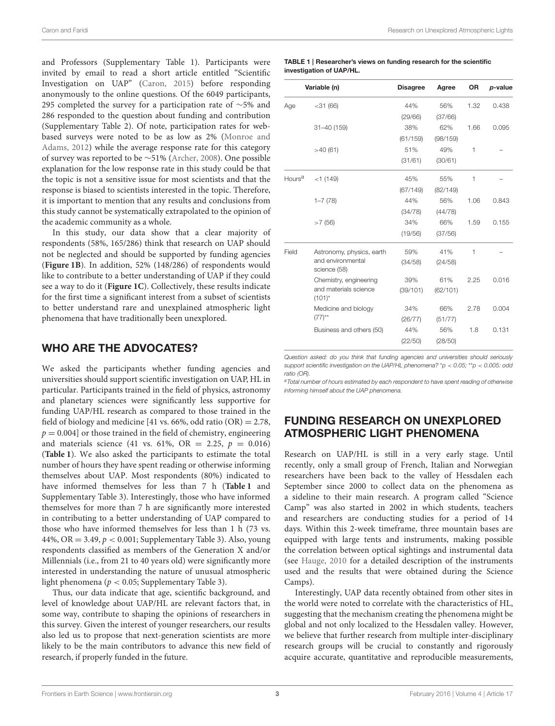and Professors (Supplementary Table 1). Participants were invited by email to read a short article entitled "Scientific Investigation on UAP" [\(Caron, 2015\)](#page-3-2) before responding anonymously to the online questions. Of the 6049 participants, 295 completed the survey for a participation rate of ∼5% and 286 responded to the question about funding and contribution (Supplementary Table 2). Of note, participation rates for webbased surveys were noted to be as low as 2% (Monroe and Adams, [2012\)](#page-4-20) while the average response rate for this category of survey was reported to be ∼51% [\(Archer, 2008\)](#page-3-3). One possible explanation for the low response rate in this study could be that the topic is not a sensitive issue for most scientists and that the response is biased to scientists interested in the topic. Therefore, it is important to mention that any results and conclusions from this study cannot be systematically extrapolated to the opinion of the academic community as a whole.

In this study, our data show that a clear majority of respondents (58%, 165/286) think that research on UAP should not be neglected and should be supported by funding agencies (**[Figure 1B](#page-1-0)**). In addition, 52% (148/286) of respondents would like to contribute to a better understanding of UAP if they could see a way to do it (**[Figure 1C](#page-1-0)**). Collectively, these results indicate for the first time a significant interest from a subset of scientists to better understand rare and unexplained atmospheric light phenomena that have traditionally been unexplored.

### WHO ARE THE ADVOCATES?

We asked the participants whether funding agencies and universities should support scientific investigation on UAP, HL in particular. Participants trained in the field of physics, astronomy and planetary sciences were significantly less supportive for funding UAP/HL research as compared to those trained in the field of biology and medicine [41 vs. 66%, odd ratio  $(OR) = 2.78$ ,  $p = 0.004$  or those trained in the field of chemistry, engineering and materials science (41 vs. 61%, OR = 2.25,  $p = 0.016$ ) (**[Table 1](#page-2-0)**). We also asked the participants to estimate the total number of hours they have spent reading or otherwise informing themselves about UAP. Most respondents (80%) indicated to have informed themselves for less than 7 h (**[Table 1](#page-2-0)** and Supplementary Table 3). Interestingly, those who have informed themselves for more than 7 h are significantly more interested in contributing to a better understanding of UAP compared to those who have informed themselves for less than 1 h (73 vs. 44%, OR = 3.49,  $p < 0.001$ ; Supplementary Table 3). Also, young respondents classified as members of the Generation X and/or Millennials (i.e., from 21 to 40 years old) were significantly more interested in understanding the nature of unusual atmospheric light phenomena ( $p < 0.05$ ; Supplementary Table 3).

Thus, our data indicate that age, scientific background, and level of knowledge about UAP/HL are relevant factors that, in some way, contribute to shaping the opinions of researchers in this survey. Given the interest of younger researchers, our results also led us to propose that next-generation scientists are more likely to be the main contributors to advance this new field of research, if properly funded in the future.

<span id="page-2-0"></span>

| TABLE 1   Researcher's views on funding research for the scientific |
|---------------------------------------------------------------------|
| investigation of UAP/HL.                                            |

| Variable (n)       |                                                                | <b>Disagree</b> | Agree    | <b>OR</b> | p-value |
|--------------------|----------------------------------------------------------------|-----------------|----------|-----------|---------|
| Age                | $<$ 31 $(66)$                                                  | 44%             | 56%      | 1.32      | 0.438   |
|                    |                                                                | (29/66)         | (37/66)  |           |         |
|                    | $31 - 40(159)$                                                 | 38%             | 62%      | 1.66      | 0.095   |
|                    |                                                                | (61/159)        | (98/159) |           |         |
|                    | >40(61)                                                        | 51%             | 49%      | 1         |         |
|                    |                                                                | (31/61)         | (30/61)  |           |         |
| Hours <sup>a</sup> | $<$ 1 (149)                                                    | 45%             | 55%      | 1         |         |
|                    |                                                                | (67/149)        | (82/149) |           |         |
|                    | $1 - 7(78)$                                                    | 44%             | 56%      | 1.06      | 0.843   |
|                    |                                                                | (34/78)         | (44/78)  |           |         |
|                    | >7(56)                                                         | 34%             | 66%      | 1.59      | 0.155   |
|                    |                                                                | (19/56)         | (37/56)  |           |         |
| Field              | Astronomy, physics, earth<br>and environmental<br>science (58) | 59%             | 41%      | 1         |         |
|                    |                                                                | (34/58)         | (24/58)  |           |         |
|                    | Chemistry, engineering<br>and materials science<br>$(101)^{*}$ | 39%             | 61%      | 2.25      | 0.016   |
|                    |                                                                | (39/101)        | (62/101) |           |         |
|                    | Medicine and biology<br>$(77)$ <sup>**</sup>                   | 34%             | 66%      | 2.78      | 0.004   |
|                    |                                                                | (26/77)         | (51/77)  |           |         |
|                    | Business and others (50)                                       | 44%             | 56%      | 1.8       | 0.131   |
|                    |                                                                | (22/50)         | (28/50)  |           |         |

Question asked: do you think that funding agencies and universities should seriously support scientific investigation on the UAP/HL phenomena? \*p  $<$  0.05; \*\*p  $<$  0.005: odd ratio (OR).

a Total number of hours estimated by each respondent to have spent reading of otherwise informing himself about the UAP phenomena.

## FUNDING RESEARCH ON UNEXPLORED ATMOSPHERIC LIGHT PHENOMENA

Research on UAP/HL is still in a very early stage. Until recently, only a small group of French, Italian and Norwegian researchers have been back to the valley of Hessdalen each September since 2000 to collect data on the phenomena as a sideline to their main research. A program called "Science Camp" was also started in 2002 in which students, teachers and researchers are conducting studies for a period of 14 days. Within this 2-week timeframe, three mountain bases are equipped with large tents and instruments, making possible the correlation between optical sightings and instrumental data (see [Hauge, 2010](#page-4-1) for a detailed description of the instruments used and the results that were obtained during the Science Camps).

Interestingly, UAP data recently obtained from other sites in the world were noted to correlate with the characteristics of HL, suggesting that the mechanism creating the phenomena might be global and not only localized to the Hessdalen valley. However, we believe that further research from multiple inter-disciplinary research groups will be crucial to constantly and rigorously acquire accurate, quantitative and reproducible measurements,